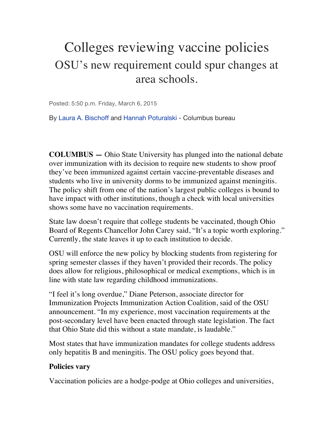## Colleges reviewing vaccine policies OSU's new requirement could spur changes at area schools.

Posted: 5:50 p.m. Friday, March 6, 2015

By Laura A. Bischoff and Hannah Poturalski - Columbus bureau

**COLUMBUS —** Ohio State University has plunged into the national debate over immunization with its decision to require new students to show proof they've been immunized against certain vaccine-preventable diseases and students who live in university dorms to be immunized against meningitis. The policy shift from one of the nation's largest public colleges is bound to have impact with other institutions, though a check with local universities shows some have no vaccination requirements.

State law doesn't require that college students be vaccinated, though Ohio Board of Regents Chancellor John Carey said, "It's a topic worth exploring." Currently, the state leaves it up to each institution to decide.

OSU will enforce the new policy by blocking students from registering for spring semester classes if they haven't provided their records. The policy does allow for religious, philosophical or medical exemptions, which is in line with state law regarding childhood immunizations.

"I feel it's long overdue," Diane Peterson, associate director for Immunization Projects Immunization Action Coalition, said of the OSU announcement. "In my experience, most vaccination requirements at the post-secondary level have been enacted through state legislation. The fact that Ohio State did this without a state mandate, is laudable."

Most states that have immunization mandates for college students address only hepatitis B and meningitis. The OSU policy goes beyond that.

## **Policies vary**

Vaccination policies are a hodge-podge at Ohio colleges and universities,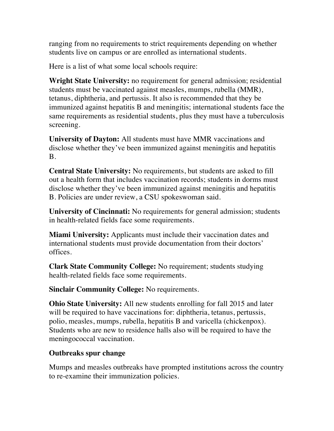ranging from no requirements to strict requirements depending on whether students live on campus or are enrolled as international students.

Here is a list of what some local schools require:

**Wright State University:** no requirement for general admission; residential students must be vaccinated against measles, mumps, rubella (MMR), tetanus, diphtheria, and pertussis. It also is recommended that they be immunized against hepatitis B and meningitis; international students face the same requirements as residential students, plus they must have a tuberculosis screening.

**University of Dayton:** All students must have MMR vaccinations and disclose whether they've been immunized against meningitis and hepatitis B.

**Central State University:** No requirements, but students are asked to fill out a health form that includes vaccination records; students in dorms must disclose whether they've been immunized against meningitis and hepatitis B. Policies are under review, a CSU spokeswoman said.

**University of Cincinnati:** No requirements for general admission; students in health-related fields face some requirements.

**Miami University:** Applicants must include their vaccination dates and international students must provide documentation from their doctors' offices.

**Clark State Community College:** No requirement; students studying health-related fields face some requirements.

**Sinclair Community College:** No requirements.

**Ohio State University:** All new students enrolling for fall 2015 and later will be required to have vaccinations for: diphtheria, tetanus, pertussis, polio, measles, mumps, rubella, hepatitis B and varicella (chickenpox). Students who are new to residence halls also will be required to have the meningococcal vaccination.

## **Outbreaks spur change**

Mumps and measles outbreaks have prompted institutions across the country to re-examine their immunization policies.